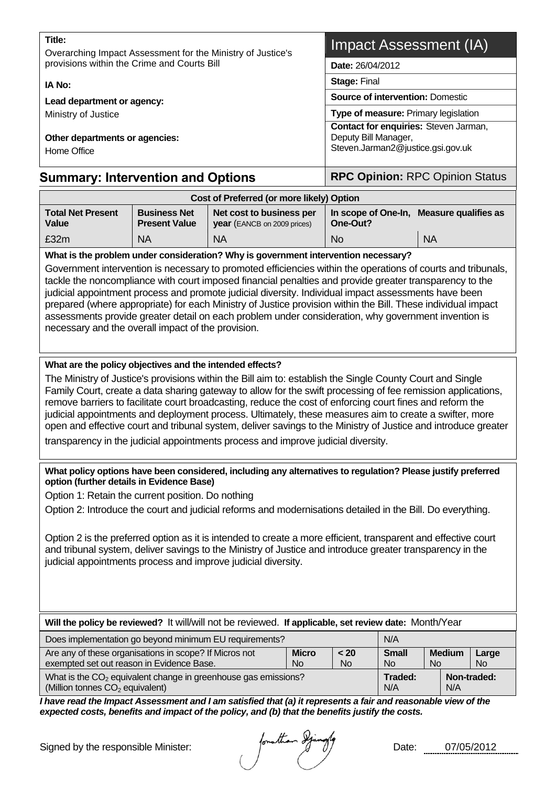| Title:<br>Overarching Impact Assessment for the Ministry of Justice's | Impact Assessment (IA)                                                                             |  |  |  |  |
|-----------------------------------------------------------------------|----------------------------------------------------------------------------------------------------|--|--|--|--|
| provisions within the Crime and Courts Bill                           | <b>Date: 26/04/2012</b>                                                                            |  |  |  |  |
| IA No:                                                                | <b>Stage: Final</b>                                                                                |  |  |  |  |
| Lead department or agency:                                            | <b>Source of intervention: Domestic</b>                                                            |  |  |  |  |
| Ministry of Justice                                                   | Type of measure: Primary legislation                                                               |  |  |  |  |
| Other departments or agencies:<br>Home Office                         | Contact for enquiries: Steven Jarman,<br>Deputy Bill Manager,<br>Steven.Jarman2@justice.gsi.gov.uk |  |  |  |  |

### **Summary: Intervention and Options | RPC Opinion: RPC Opinion Status**

| Cost of Preferred (or more likely) Option |                                             |                                                                |          |                                          |  |  |  |  |  |  |
|-------------------------------------------|---------------------------------------------|----------------------------------------------------------------|----------|------------------------------------------|--|--|--|--|--|--|
| <b>Total Net Present</b><br>Value         | <b>Business Net</b><br><b>Present Value</b> | Net cost to business per<br><b>year</b> (EANCB on 2009 prices) | One-Out? | In scope of One-In, Measure qualifies as |  |  |  |  |  |  |
| £32m                                      | <b>NA</b>                                   | <b>NA</b>                                                      | No.      | <b>NA</b>                                |  |  |  |  |  |  |

**What is the problem under consideration? Why is government intervention necessary?**

Government intervention is necessary to promoted efficiencies within the operations of courts and tribunals, tackle the noncompliance with court imposed financial penalties and provide greater transparency to the judicial appointment process and promote judicial diversity. Individual impact assessments have been prepared (where appropriate) for each Ministry of Justice provision within the Bill. These individual impact assessments provide greater detail on each problem under consideration, why government invention is necessary and the overall impact of the provision.

#### **What are the policy objectives and the intended effects?**

The Ministry of Justice's provisions within the Bill aim to: establish the Single County Court and Single Family Court, create a data sharing gateway to allow for the swift processing of fee remission applications, remove barriers to facilitate court broadcasting, reduce the cost of enforcing court fines and reform the judicial appointments and deployment process. Ultimately, these measures aim to create a swifter, more open and effective court and tribunal system, deliver savings to the Ministry of Justice and introduce greater transparency in the judicial appointments process and improve judicial diversity.

**What policy options have been considered, including any alternatives to regulation? Please justify preferred option (further details in Evidence Base)**

Option 1: Retain the current position. Do nothing

Option 2: Introduce the court and judicial reforms and modernisations detailed in the Bill. Do everything.

Option 2 is the preferred option as it is intended to create a more efficient, transparent and effective court and tribunal system, deliver savings to the Ministry of Justice and introduce greater transparency in the judicial appointments process and improve judicial diversity.

| Will the policy be reviewed? It will/will not be reviewed. If applicable, set review date: Month/Year                                                                                                                           |  |                |     |             |  |  |  |  |  |  |
|---------------------------------------------------------------------------------------------------------------------------------------------------------------------------------------------------------------------------------|--|----------------|-----|-------------|--|--|--|--|--|--|
| Does implementation go beyond minimum EU requirements?<br>N/A                                                                                                                                                                   |  |                |     |             |  |  |  |  |  |  |
| <b>Small</b><br>Are any of these organisations in scope? If Micros not<br><b>Micro</b><br>< 20<br><b>Medium</b><br>exempted set out reason in Evidence Base.<br>N <sub>o</sub><br>N <sub>o</sub><br><b>No</b><br>N <sub>o</sub> |  |                |     |             |  |  |  |  |  |  |
| What is the $CO2$ equivalent change in greenhouse gas emissions?<br>(Million tonnes CO <sub>2</sub> equivalent)                                                                                                                 |  | Traded:<br>N/A | N/A | Non-traded: |  |  |  |  |  |  |

*I have read the Impact Assessment and I am satisfied that (a) it represents a fair and reasonable view of the expected costs, benefits and impact of the policy, and (b) that the benefits justify the costs.* 

Signed by the responsible Minister:  $\frac{1}{2}$  (1) Date: 07/05/2012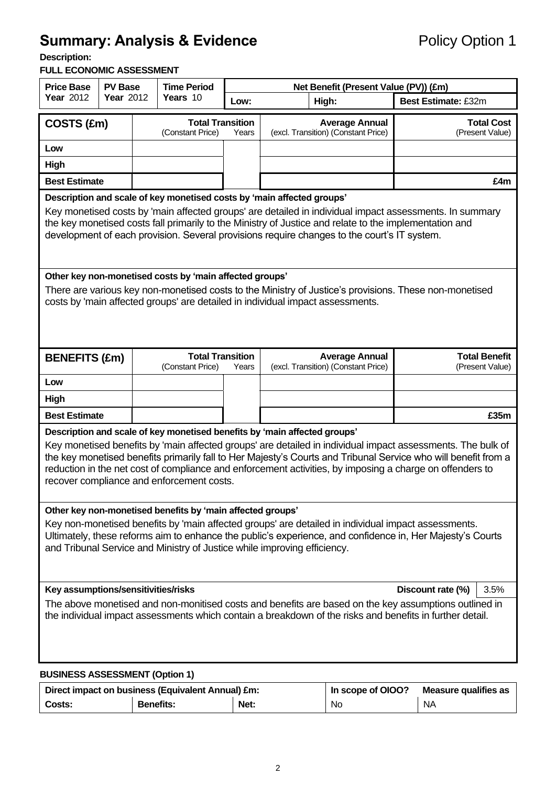# **Summary: Analysis & Evidence Policy Option 1**

**Description:** 

#### **FULL ECONOMIC ASSESSMENT**

| <b>Price Base</b>                                                                                                                                                                                                                                                                                                                                                                          |                      | <b>Time Period</b><br><b>PV Base</b><br>Net Benefit (Present Value (PV)) (£m)                                        |                                                            |               |                                                                                                                                                                                                                                                                                                                                                                                                                        |                                         |  |  |  |  |  |
|--------------------------------------------------------------------------------------------------------------------------------------------------------------------------------------------------------------------------------------------------------------------------------------------------------------------------------------------------------------------------------------------|----------------------|----------------------------------------------------------------------------------------------------------------------|------------------------------------------------------------|---------------|------------------------------------------------------------------------------------------------------------------------------------------------------------------------------------------------------------------------------------------------------------------------------------------------------------------------------------------------------------------------------------------------------------------------|-----------------------------------------|--|--|--|--|--|
| <b>Year 2012</b>                                                                                                                                                                                                                                                                                                                                                                           | <b>Year 2012</b>     |                                                                                                                      | Years 10                                                   | High:<br>Low: |                                                                                                                                                                                                                                                                                                                                                                                                                        | Best Estimate: £32m                     |  |  |  |  |  |
| COSTS (£m)                                                                                                                                                                                                                                                                                                                                                                                 |                      |                                                                                                                      | <b>Total Transition</b>                                    |               | <b>Average Annual</b>                                                                                                                                                                                                                                                                                                                                                                                                  | <b>Total Cost</b>                       |  |  |  |  |  |
|                                                                                                                                                                                                                                                                                                                                                                                            |                      |                                                                                                                      | (Constant Price)                                           | Years         | (excl. Transition) (Constant Price)                                                                                                                                                                                                                                                                                                                                                                                    | (Present Value)                         |  |  |  |  |  |
| Low                                                                                                                                                                                                                                                                                                                                                                                        |                      |                                                                                                                      |                                                            |               |                                                                                                                                                                                                                                                                                                                                                                                                                        |                                         |  |  |  |  |  |
| High                                                                                                                                                                                                                                                                                                                                                                                       |                      |                                                                                                                      |                                                            |               | £4m                                                                                                                                                                                                                                                                                                                                                                                                                    |                                         |  |  |  |  |  |
|                                                                                                                                                                                                                                                                                                                                                                                            | <b>Best Estimate</b> |                                                                                                                      |                                                            |               |                                                                                                                                                                                                                                                                                                                                                                                                                        |                                         |  |  |  |  |  |
| Description and scale of key monetised costs by 'main affected groups'<br>Key monetised costs by 'main affected groups' are detailed in individual impact assessments. In summary<br>the key monetised costs fall primarily to the Ministry of Justice and relate to the implementation and<br>development of each provision. Several provisions require changes to the court's IT system. |                      |                                                                                                                      |                                                            |               |                                                                                                                                                                                                                                                                                                                                                                                                                        |                                         |  |  |  |  |  |
| Other key non-monetised costs by 'main affected groups'<br>There are various key non-monetised costs to the Ministry of Justice's provisions. These non-monetised<br>costs by 'main affected groups' are detailed in individual impact assessments.                                                                                                                                        |                      |                                                                                                                      |                                                            |               |                                                                                                                                                                                                                                                                                                                                                                                                                        |                                         |  |  |  |  |  |
| <b>BENEFITS (£m)</b>                                                                                                                                                                                                                                                                                                                                                                       |                      | <b>Total Transition</b><br><b>Average Annual</b><br>(excl. Transition) (Constant Price)<br>(Constant Price)<br>Years |                                                            |               |                                                                                                                                                                                                                                                                                                                                                                                                                        | <b>Total Benefit</b><br>(Present Value) |  |  |  |  |  |
| Low                                                                                                                                                                                                                                                                                                                                                                                        |                      |                                                                                                                      |                                                            |               |                                                                                                                                                                                                                                                                                                                                                                                                                        |                                         |  |  |  |  |  |
| High                                                                                                                                                                                                                                                                                                                                                                                       |                      |                                                                                                                      |                                                            |               |                                                                                                                                                                                                                                                                                                                                                                                                                        |                                         |  |  |  |  |  |
| <b>Best Estimate</b>                                                                                                                                                                                                                                                                                                                                                                       |                      |                                                                                                                      |                                                            |               |                                                                                                                                                                                                                                                                                                                                                                                                                        | £35m                                    |  |  |  |  |  |
|                                                                                                                                                                                                                                                                                                                                                                                            |                      |                                                                                                                      | recover compliance and enforcement costs.                  |               | Description and scale of key monetised benefits by 'main affected groups'<br>Key monetised benefits by 'main affected groups' are detailed in individual impact assessments. The bulk of<br>the key monetised benefits primarily fall to Her Majesty's Courts and Tribunal Service who will benefit from a<br>reduction in the net cost of compliance and enforcement activities, by imposing a charge on offenders to |                                         |  |  |  |  |  |
|                                                                                                                                                                                                                                                                                                                                                                                            |                      |                                                                                                                      | Other key non-monetised benefits by 'main affected groups' |               |                                                                                                                                                                                                                                                                                                                                                                                                                        |                                         |  |  |  |  |  |
|                                                                                                                                                                                                                                                                                                                                                                                            |                      |                                                                                                                      |                                                            |               | Key non-monetised benefits by 'main affected groups' are detailed in individual impact assessments.<br>Ultimately, these reforms aim to enhance the public's experience, and confidence in, Her Majesty's Courts<br>and Tribunal Service and Ministry of Justice while improving efficiency.                                                                                                                           |                                         |  |  |  |  |  |
| Key assumptions/sensitivities/risks                                                                                                                                                                                                                                                                                                                                                        |                      |                                                                                                                      |                                                            |               |                                                                                                                                                                                                                                                                                                                                                                                                                        | Discount rate (%)<br>3.5%               |  |  |  |  |  |
|                                                                                                                                                                                                                                                                                                                                                                                            |                      |                                                                                                                      |                                                            |               | The above monetised and non-monitised costs and benefits are based on the key assumptions outlined in<br>the individual impact assessments which contain a breakdown of the risks and benefits in further detail.                                                                                                                                                                                                      |                                         |  |  |  |  |  |
| <b>BUSINESS ASSESSMENT (Option 1)</b>                                                                                                                                                                                                                                                                                                                                                      |                      |                                                                                                                      |                                                            |               |                                                                                                                                                                                                                                                                                                                                                                                                                        |                                         |  |  |  |  |  |

|        | Direct impact on business (Equivalent Annual) £m: | In scope of OIOO? | Measure qualifies as |           |
|--------|---------------------------------------------------|-------------------|----------------------|-----------|
| Costs: | <b>Benefits:</b>                                  | Net:              | No                   | <b>NA</b> |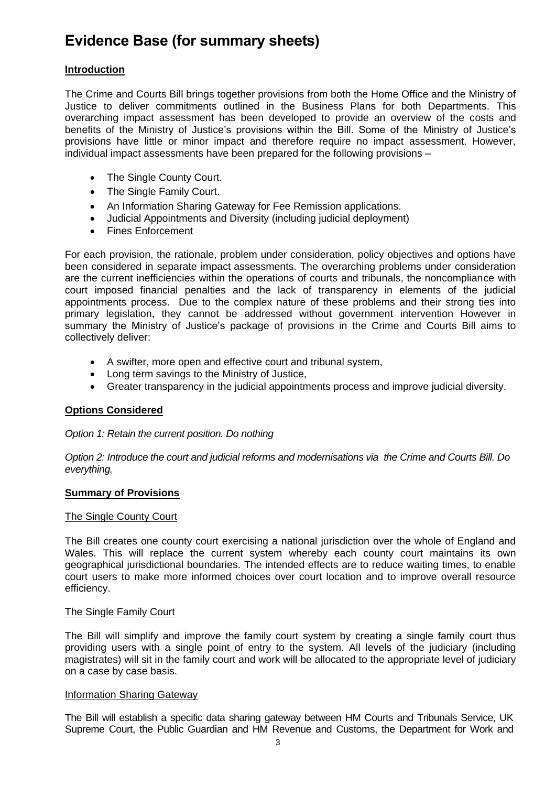## **Evidence Base (for summary sheets)**

#### **Introduction**

The Crime and Courts Bill brings together provisions from both the Home Office and the Ministry of Justice to deliver commitments outlined in the Business Plans for both Departments. This overarching impact assessment has been developed to provide an overview of the costs and benefits of the Ministry of Justice's provisions within the Bill. Some of the Ministry of Justice's provisions have little or minor impact and therefore require no impact assessment. However, individual impact assessments have been prepared for the following provisions –

- The Single County Court.
- The Single Family Court.
- An Information Sharing Gateway for Fee Remission applications.
- Judicial Appointments and Diversity (including judicial deployment)
- Fines Enforcement

For each provision, the rationale, problem under consideration, policy objectives and options have been considered in separate impact assessments. The overarching problems under consideration are the current inefficiencies within the operations of courts and tribunals, the noncompliance with court imposed financial penalties and the lack of transparency in elements of the judicial appointments process. Due to the complex nature of these problems and their strong ties into primary legislation, they cannot be addressed without government intervention However in summary the Ministry of Justice's package of provisions in the Crime and Courts Bill aims to collectively deliver:

- A swifter, more open and effective court and tribunal system,
- Long term savings to the Ministry of Justice,
- Greater transparency in the judicial appointments process and improve judicial diversity.

#### **Options Considered**

*Option 1: Retain the current position. Do nothing* 

*Option 2: Introduce the court and judicial reforms and modernisations via the Crime and Courts Bill. Do everything.* 

#### **Summary of Provisions**

#### The Single County Court

The Bill creates one county court exercising a national jurisdiction over the whole of England and Wales. This will replace the current system whereby each county court maintains its own geographical jurisdictional boundaries. The intended effects are to reduce waiting times, to enable court users to make more informed choices over court location and to improve overall resource efficiency.

#### The Single Family Court

The Bill will simplify and improve the family court system by creating a single family court thus providing users with a single point of entry to the system. All levels of the judiciary (including magistrates) will sit in the family court and work will be allocated to the appropriate level of judiciary on a case by case basis.

#### Information Sharing Gateway

The Bill will establish a specific data sharing gateway between HM Courts and Tribunals Service, UK Supreme Court, the Public Guardian and HM Revenue and Customs, the Department for Work and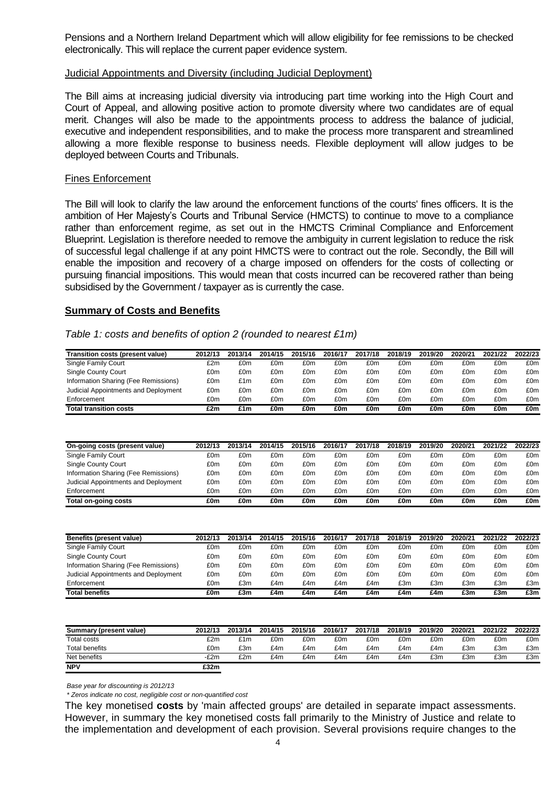Pensions and a Northern Ireland Department which will allow eligibility for fee remissions to be checked electronically. This will replace the current paper evidence system.

#### Judicial Appointments and Diversity (including Judicial Deployment)

The Bill aims at increasing judicial diversity via introducing part time working into the High Court and Court of Appeal, and allowing positive action to promote diversity where two candidates are of equal merit. Changes will also be made to the appointments process to address the balance of judicial, executive and independent responsibilities, and to make the process more transparent and streamlined allowing a more flexible response to business needs. Flexible deployment will allow judges to be deployed between Courts and Tribunals.

#### Fines Enforcement

The Bill will look to clarify the law around the enforcement functions of the courts' fines officers. It is the ambition of Her Majesty's Courts and Tribunal Service (HMCTS) to continue to move to a compliance rather than enforcement regime, as set out in the HMCTS Criminal Compliance and Enforcement Blueprint. Legislation is therefore needed to remove the ambiguity in current legislation to reduce the risk of successful legal challenge if at any point HMCTS were to contract out the role. Secondly, the Bill will enable the imposition and recovery of a charge imposed on offenders for the costs of collecting or pursuing financial impositions. This would mean that costs incurred can be recovered rather than being subsidised by the Government / taxpayer as is currently the case.

#### **Summary of Costs and Benefits**

#### *Table 1: costs and benefits of option 2 (rounded to nearest £1m)*

| Transition costs (present value)     | 2012/13 | 2013/14 | 2014/15 | 2015/16 | 2016/17 | 2017/18 | 2018/19 | 2019/20 | 2020/21 | 2021/22 | 2022/23 |
|--------------------------------------|---------|---------|---------|---------|---------|---------|---------|---------|---------|---------|---------|
| Single Family Court                  | £2m     | £0m     | £0m     | £0m     | £0m     | £0m     | £0m     | £0m     | £0m     | £0m     | £0m     |
| Single County Court                  | £0m     | £0m     | £0m     | £0m     | £0m     | £0m     | £0m     | £0m     | £0m     | £0m     | £0m     |
| Information Sharing (Fee Remissions) | £0m     | £1m     | £0m     | £0m     | £0m     | £0m     | £0m     | £0m     | £0m     | £0m     | £0m     |
| Judicial Appointments and Deployment | £0m     | £0m     | £0m     | £0m     | £0m     | £0m     | £0m     | £0m     | £0m     | £0m     | £0m     |
| Enforcement                          | £0m     | £0m     | £0m     | £0m     | £0m     | £0m     | £0m     | £0m     | £0m     | £0m     | £0m     |
| Total transition costs               | £2m     | £1m     | £0m     | £0m     | £0m     | £0m     | £0m     | £0m     | £0m     | £0m     | £0m     |

| On-going costs (present value)       | 2012/13 | 2013/14 | 2014/15 | 2015/16 | 2016/17 | 2017/18 | 2018/19 | 2019/20 | 2020/21 | 2021/22 | 2022/23 |
|--------------------------------------|---------|---------|---------|---------|---------|---------|---------|---------|---------|---------|---------|
| Single Family Court                  | £0m     | £0m     | £0m     | £0m     | £0m     | £0m     | £0m     | £0m     | £0m     | £0m     | £0m     |
| Single County Court                  | £0m     | £0m     | £0m     | £0m     | £0m     | £0m     | £0m     | £0m     | £0m     | £0m     | £0m     |
| Information Sharing (Fee Remissions) | £0m     | £0m     | £0m     | £0m     | £0m     | £0m     | £0m     | £0m     | £0m     | £0m     | £0m     |
| Judicial Appointments and Deployment | £0m     | £0m     | £0m     | £0m     | £0m     | £0m     | £0m     | £0m     | £0m     | £0m     | £0m     |
| Enforcement                          | £0m     | £0m     | £0m     | £0m     | £0m     | £0m     | £0m     | £0m     | £0m     | £0m     | £0m     |
| Total on-going costs                 | £0m     | £0m     | £0m     | £0m     | £0m     | £0m     | £0m     | £0m     | £0m     | £0m     | £0m     |

| Benefits (present value)             | 2012/13 | 2013/14 | 2014/15 | 2015/16 | 2016/17 | 2017/18 | 2018/19 | 2019/20 | 2020/21 | 2021/22 | 2022/23 |
|--------------------------------------|---------|---------|---------|---------|---------|---------|---------|---------|---------|---------|---------|
| Single Family Court                  | £0m     | £0m     | £0m     | £0m     | £0m     | £0m     | £0m     | £0m     | £0m     | £0m     | £0m     |
| Single County Court                  | £0m     | £0m     | £0m     | £0m     | £0m     | £0m     | £0m     | £0m     | £0m     | £0m     | £0m     |
| Information Sharing (Fee Remissions) | £0m     | £0m     | £0m     | £0m     | £0m     | £0m     | £0m     | £0m     | £0m     | £0m     | £0m     |
| Judicial Appointments and Deployment | £0m     | £0m     | £0m     | £0m     | £0m     | £0m     | £0m     | £0m     | £0m     | £0m     | £0m     |
| Enforcement                          | £0m     | £3m     | £4m     | £4m     | £4m     | £4m     | £3m     | £3m     | £3m     | £3m     | £3m     |
| Total benefits                       | £0m     | £3m     | £4m     | £4m     | £4m     | £4m     | £4m     | £4m     | £3m     | £3m     | £3m     |

| Summary (present value) | 2012/13 | 2013/14 | 2014/15 | 2015/16 | 2016/17 | 2017/18 | 2018/19 | 2019/20 | 2020/21 | 2021/22 | 2022/23 |
|-------------------------|---------|---------|---------|---------|---------|---------|---------|---------|---------|---------|---------|
| Total costs             | £2m     | £1m     | £0m     | £0m     | £0m     | £0m     | £0m     | £0m     | £0m     | £0m     | £0m     |
| Total benefits          | £0m     | £3m     | £4m     | £4m     | £4m     | £4m     | £4m     | £4m     | £3m     | £3m     | £3m     |
| Net benefits            | -£2m    | £2m     | £4m     | £4m     | £4m     | £4m     | £4m     | £3m     | £3m     | £3m     | £3m     |
| <b>NPV</b>              | £32m    |         |         |         |         |         |         |         |         |         |         |

*Base year for discounting is 2012/13*

*\* Zeros indicate no cost, negligible cost or non-quantified cost*

The key monetised **costs** by 'main affected groups' are detailed in separate impact assessments. However, in summary the key monetised costs fall primarily to the Ministry of Justice and relate to the implementation and development of each provision. Several provisions require changes to the